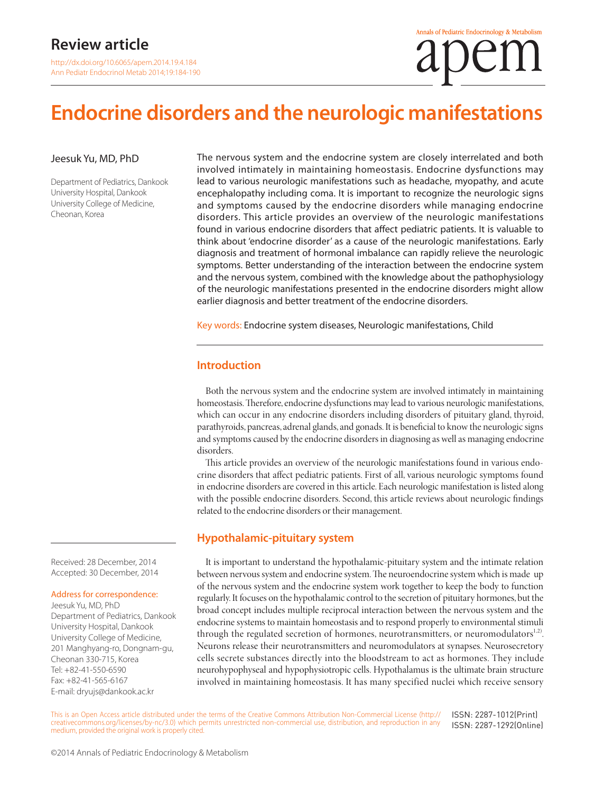http://dx.doi.org/10.6065/apem.2014.19.4.184 Ann Pediatr Endocrinol Metab 2014;19:184-190

# **Endocrine disorders and the neurologic manifestations**

#### Jeesuk Yu, MD, PhD

Department of Pediatrics, Dankook University Hospital, Dankook University College of Medicine, Cheonan, Korea

The nervous system and the endocrine system are closely interrelated and both involved intimately in maintaining homeostasis. Endocrine dysfunctions may lead to various neurologic manifestations such as headache, myopathy, and acute encephalopathy including coma. It is important to recognize the neurologic signs and symptoms caused by the endocrine disorders while managing endocrine disorders. This article provides an overview of the neurologic manifestations found in various endocrine disorders that affect pediatric patients. It is valuable to think about 'endocrine disorder' as a cause of the neurologic manifestations. Early diagnosis and treatment of hormonal imbalance can rapidly relieve the neurologic symptoms. Better understanding of the interaction between the endocrine system and the nervous system, combined with the knowledge about the pathophysiology of the neurologic manifestations presented in the endocrine disorders might allow earlier diagnosis and better treatment of the endocrine disorders.

Key words: Endocrine system diseases, Neurologic manifestations, Child

### **Introduction**

Both the nervous system and the endocrine system are involved intimately in maintaining homeostasis. Therefore, endocrine dysfunctions may lead to various neurologic manifestations, which can occur in any endocrine disorders including disorders of pituitary gland, thyroid, parathyroids, pancreas, adrenal glands, and gonads. It is beneficial to know the neurologic signs and symptoms caused by the endocrine disorders in diagnosing as well as managing endocrine disorders.

This article provides an overview of the neurologic manifestations found in various endocrine disorders that affect pediatric patients. First of all, various neurologic symptoms found in endocrine disorders are covered in this article. Each neurologic manifestation is listed along with the possible endocrine disorders. Second, this article reviews about neurologic findings related to the endocrine disorders or their management.

# **Hypothalamic-pituitary system**

It is important to understand the hypothalamic-pituitary system and the intimate relation between nervous system and endocrine system. The neuroendocrine system which is made up of the nervous system and the endocrine system work together to keep the body to function regularly. It focuses on the hypothalamic control to the secretion of pituitary hormones, but the broad concept includes multiple reciprocal interaction between the nervous system and the endocrine systems to maintain homeostasis and to respond properly to environmental stimuli through the regulated secretion of hormones, neurotransmitters, or neuromodulators $1,2$ . Neurons release their neurotransmitters and neuromodulators at synapses. Neurosecretory cells secrete substances directly into the bloodstream to act as hormones. They include neurohypophyseal and hypophysiotropic cells. Hypothalamus is the ultimate brain structure involved in maintaining homeostasis. It has many specified nuclei which receive sensory

This is an Open Access article distributed under the terms of the Creative Commons Attribution Non-Commercial License (http:// creativecommons.org/licenses/by-nc/3.0) which permits unrestricted non-commercial use, distribution, and reproduction in any medium, provided the original work is properly cited. ISSN: 2287-1012(Print) ISSN: 2287-1292(Online)

Received: 28 December, 2014 Accepted: 30 December, 2014

#### Address for correspondence: Jeesuk Yu, MD, PhD

Department of Pediatrics, Dankook University Hospital, Dankook University College of Medicine, 201 Manghyang-ro, Dongnam-gu, Cheonan 330-715, Korea Tel: +82-41-550-6590 Fax: +82-41-565-6167 E-mail: dryujs@dankook.ac.kr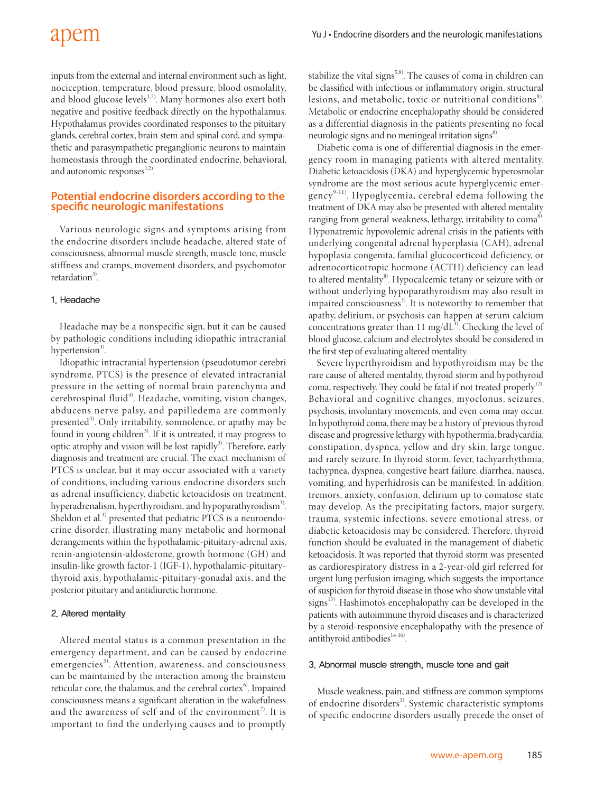# apem

inputs from the external and internal environment such as light, nociception, temperature, blood pressure, blood osmolality, and blood glucose levels<sup>1,2)</sup>. Many hormones also exert both negative and positive feedback directly on the hypothalamus. Hypothalamus provides coordinated responses to the pituitary glands, cerebral cortex, brain stem and spinal cord, and sympathetic and parasympathetic preganglionic neurons to maintain homeostasis through the coordinated endocrine, behavioral, and autonomic responses $1,2$ .

### **Potential endocrine disorders according to the specific neurologic manifestations**

Various neurologic signs and symptoms arising from the endocrine disorders include headache, altered state of consciousness, abnormal muscle strength, muscle tone, muscle stiffness and cramps, movement disorders, and psychomotor retardation<sup>3)</sup>.

#### 1. Headache

Headache may be a nonspecific sign, but it can be caused by pathologic conditions including idiopathic intracranial hypertension<sup>3)</sup>.

Idiopathic intracranial hypertension (pseudotumor cerebri syndrome, PTCS) is the presence of elevated intracranial pressure in the setting of normal brain parenchyma and cerebrospinal fluid<sup>4)</sup>. Headache, vomiting, vision changes, abducens nerve palsy, and papilledema are commonly presented<sup>3)</sup>. Only irritability, somnolence, or apathy may be found in young children<sup>3)</sup>. If it is untreated, it may progress to optic atrophy and vision will be lost rapidly<sup>3)</sup>. Therefore, early diagnosis and treatment are crucial. The exact mechanism of PTCS is unclear, but it may occur associated with a variety of conditions, including various endocrine disorders such as adrenal insufficiency, diabetic ketoacidosis on treatment, hyperadrenalism, hyperthyroidism, and hypoparathyroidism<sup>3)</sup>. Sheldon et al.<sup>4)</sup> presented that pediatric PTCS is a neuroendocrine disorder, illustrating many metabolic and hormonal derangements within the hypothalamic-pituitary-adrenal axis, renin-angiotensin-aldosterone, growth hormone (GH) and insulin-like growth factor-1 (IGF-1), hypothalamic-pituitarythyroid axis, hypothalamic-pituitary-gonadal axis, and the posterior pituitary and antidiuretic hormone.

#### 2. Altered mentality

Altered mental status is a common presentation in the emergency department, and can be caused by endocrine emergencies<sup>5)</sup>. Attention, awareness, and consciousness can be maintained by the interaction among the brainstem reticular core, the thalamus, and the cerebral cortex<sup>6</sup>. Impaired consciousness means a significant alteration in the wakefulness and the awareness of self and of the environment<sup>7)</sup>. It is important to find the underlying causes and to promptly

stabilize the vital signs<sup>5,8)</sup>. The causes of coma in children can be classified with infectious or inflammatory origin, structural lesions, and metabolic, toxic or nutritional conditions<sup>8</sup>. Metabolic or endocrine encephalopathy should be considered as a differential diagnosis in the patients presenting no focal neurologic signs and no meningeal irritation signs<sup>8</sup>.

Diabetic coma is one of differential diagnosis in the emergency room in managing patients with altered mentality. Diabetic ketoacidosis (DKA) and hyperglycemic hyperosmolar syndrome are the most serious acute hyperglycemic emer $g$ ency<sup>9-11)</sup>. Hypoglycemia, cerebral edema following the treatment of DKA may also be presented with altered mentality ranging from general weakness, lethargy, irritability to coma<sup>8)</sup>. Hyponatremic hypovolemic adrenal crisis in the patients with underlying congenital adrenal hyperplasia (CAH), adrenal hypoplasia congenita, familial glucocorticoid deficiency, or adrenocorticotropic hormone (ACTH) deficiency can lead to altered mentality<sup>8)</sup>. Hypocalcemic tetany or seizure with or without underlying hypoparathyroidism may also result in impaired consciousness<sup>3)</sup>. It is noteworthy to remember that apathy, delirium, or psychosis can happen at serum calcium concentrations greater than 11 mg/dL<sup>3)</sup>. Checking the level of blood glucose, calcium and electrolytes should be considered in the first step of evaluating altered mentality.

Severe hyperthyroidism and hypothyroidism may be the rare cause of altered mentality, thyroid storm and hypothyroid coma, respectively. They could be fatal if not treated properly<sup>12)</sup>. Behavioral and cognitive changes, myoclonus, seizures, psychosis, involuntary movements, and even coma may occur. In hypothyroid coma, there may be a history of previous thyroid disease and progressive lethargy with hypothermia, bradycardia, constipation, dyspnea, yellow and dry skin, large tongue, and rarely seizure. In thyroid storm, fever, tachyarrhythmia, tachypnea, dyspnea, congestive heart failure, diarrhea, nausea, vomiting, and hyperhidrosis can be manifested. In addition, tremors, anxiety, confusion, delirium up to comatose state may develop. As the precipitating factors, major surgery, trauma, systemic infections, severe emotional stress, or diabetic ketoacidosis may be considered. Therefore, thyroid function should be evaluated in the management of diabetic ketoacidosis. It was reported that thyroid storm was presented as cardiorespiratory distress in a 2-year-old girl referred for urgent lung perfusion imaging, which suggests the importance of suspicion for thyroid disease in those who show unstable vital signs<sup>13)</sup>. Hashimoto's encephalopathy can be developed in the patients with autoimmune thyroid diseases and is characterized by a steroid-responsive encephalopathy with the presence of antithyroid antibodies<sup>14-16)</sup>.

#### 3. Abnormal muscle strength, muscle tone and gait

Muscle weakness, pain, and stiffness are common symptoms of endocrine disorders<sup>3)</sup>. Systemic characteristic symptoms of specific endocrine disorders usually precede the onset of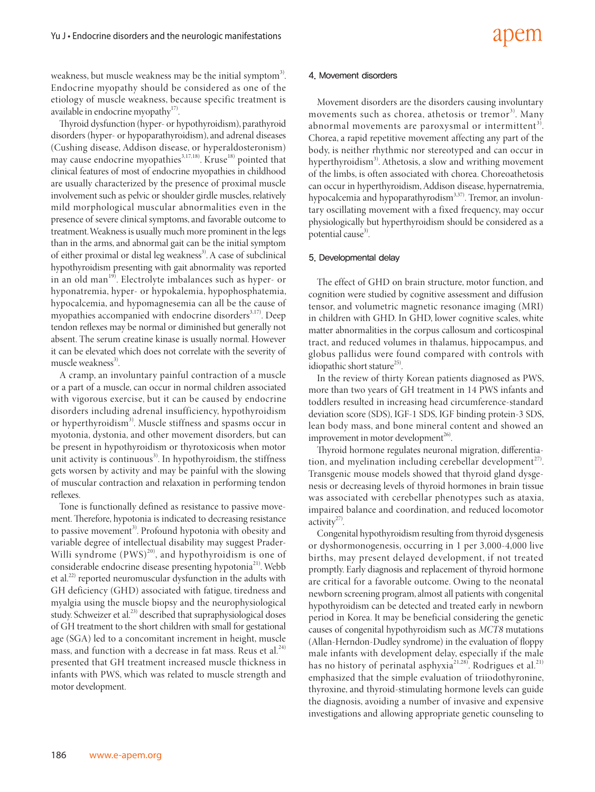weakness, but muscle weakness may be the initial symptom<sup>3)</sup>. Endocrine myopathy should be considered as one of the etiology of muscle weakness, because specific treatment is available in endocrine myopathy $17$ .

Thyroid dysfunction (hyper- or hypothyroidism), parathyroid disorders (hyper- or hypoparathyroidism), and adrenal diseases (Cushing disease, Addison disease, or hyperaldosteronism) may cause endocrine myopathies<sup>3,17,18</sup>). Kruse<sup>18)</sup> pointed that clinical features of most of endocrine myopathies in childhood are usually characterized by the presence of proximal muscle involvement such as pelvic or shoulder girdle muscles, relatively mild morphological muscular abnormalities even in the presence of severe clinical symptoms, and favorable outcome to treatment. Weakness is usually much more prominent in the legs than in the arms, and abnormal gait can be the initial symptom of either proximal or distal leg weakness<sup>3)</sup>. A case of subclinical hypothyroidism presenting with gait abnormality was reported in an old man<sup>19)</sup>. Electrolyte imbalances such as hyper- or hyponatremia, hyper- or hypokalemia, hypophosphatemia, hypocalcemia, and hypomagnesemia can all be the cause of myopathies accompanied with endocrine disorders<sup>3,17)</sup>. Deep tendon reflexes may be normal or diminished but generally not absent. The serum creatine kinase is usually normal. However it can be elevated which does not correlate with the severity of muscle weakness<sup>3)</sup>. .

A cramp, an involuntary painful contraction of a muscle or a part of a muscle, can occur in normal children associated with vigorous exercise, but it can be caused by endocrine disorders including adrenal insufficiency, hypothyroidism or hyperthyroidism<sup>3</sup>. Muscle stiffness and spasms occur in myotonia, dystonia, and other movement disorders, but can be present in hypothyroidism or thyrotoxicosis when motor unit activity is continuous<sup>3)</sup>. In hypothyroidism, the stiffness gets worsen by activity and may be painful with the slowing of muscular contraction and relaxation in performing tendon reflexes.

Tone is functionally defined as resistance to passive movement. Therefore, hypotonia is indicated to decreasing resistance to passive movement<sup>3)</sup>. Profound hypotonia with obesity and variable degree of intellectual disability may suggest Prader-Willi syndrome  $(PWS)^{20}$ , and hypothyroidism is one of considerable endocrine disease presenting hypotonia<sup>21)</sup>. Webb et al.<sup>22)</sup> reported neuromuscular dysfunction in the adults with GH deficiency (GHD) associated with fatigue, tiredness and myalgia using the muscle biopsy and the neurophysiological study. Schweizer et al.<sup>23)</sup> described that supraphysiological doses of GH treatment to the short children with small for gestational age (SGA) led to a concomitant increment in height, muscle mass, and function with a decrease in fat mass. Reus et al.<sup>24)</sup> presented that GH treatment increased muscle thickness in infants with PWS, which was related to muscle strength and motor development.

#### 4. Movement disorders

Movement disorders are the disorders causing involuntary movements such as chorea, athetosis or tremor<sup>3)</sup>. Many abnormal movements are paroxysmal or intermittent<sup>3)</sup>. Chorea, a rapid repetitive movement affecting any part of the body, is neither rhythmic nor stereotyped and can occur in hyperthyroidism<sup>3)</sup>. Athetosis, a slow and writhing movement of the limbs, is often associated with chorea. Choreoathetosis can occur in hyperthyroidism, Addison disease, hypernatremia, hypocalcemia and hypoparathyrodism<sup>3,37)</sup>. Tremor, an involuntary oscillating movement with a fixed frequency, may occur physiologically but hyperthyroidism should be considered as a potential cause $3$ ). .

#### 5. Developmental delay

The effect of GHD on brain structure, motor function, and cognition were studied by cognitive assessment and diffusion tensor, and volumetric magnetic resonance imaging (MRI) in children with GHD. In GHD, lower cognitive scales, white matter abnormalities in the corpus callosum and corticospinal tract, and reduced volumes in thalamus, hippocampus, and globus pallidus were found compared with controls with idiopathic short stature<sup>25)</sup>.

In the review of thirty Korean patients diagnosed as PWS, more than two years of GH treatment in 14 PWS infants and toddlers resulted in increasing head circumference-standard deviation score (SDS), IGF-1 SDS, IGF binding protein-3 SDS, lean body mass, and bone mineral content and showed an improvement in motor development $^{26}$ .

Thyroid hormone regulates neuronal migration, differentiation, and myelination including cerebellar development<sup>27)</sup>. Transgenic mouse models showed that thyroid gland dysgenesis or decreasing levels of thyroid hormones in brain tissue was associated with cerebellar phenotypes such as ataxia, impaired balance and coordination, and reduced locomotor activity $27$ .

Congenital hypothyroidism resulting from thyroid dysgenesis or dyshormonogenesis, occurring in 1 per 3,000-4,000 live births, may present delayed development, if not treated promptly. Early diagnosis and replacement of thyroid hormone are critical for a favorable outcome. Owing to the neonatal newborn screening program, almost all patients with congenital hypothyroidism can be detected and treated early in newborn period in Korea. It may be beneficial considering the genetic causes of congenital hypothyroidism such as *MCT8* mutations (Allan-Herndon-Dudley syndrome) in the evaluation of floppy male infants with development delay, especially if the male has no history of perinatal asphyxia<sup>21,28</sup>. Rodrigues et al.<sup>21)</sup> emphasized that the simple evaluation of triiodothyronine, thyroxine, and thyroid-stimulating hormone levels can guide the diagnosis, avoiding a number of invasive and expensive investigations and allowing appropriate genetic counseling to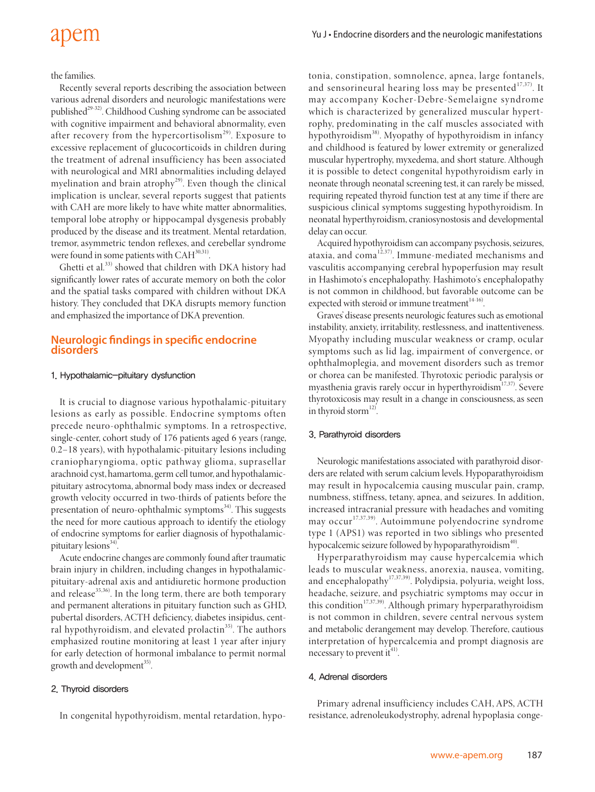the families.

Recently several reports describing the association between various adrenal disorders and neurologic manifestations were published<sup>29-32)</sup>. Childhood Cushing syndrome can be associated with cognitive impairment and behavioral abnormality, even after recovery from the hypercortisolism<sup>29)</sup>. Exposure to excessive replacement of glucocorticoids in children during the treatment of adrenal insufficiency has been associated with neurological and MRI abnormalities including delayed myelination and brain atrophy<sup>29)</sup>. Even though the clinical implication is unclear, several reports suggest that patients with CAH are more likely to have white matter abnormalities, temporal lobe atrophy or hippocampal dysgenesis probably produced by the disease and its treatment. Mental retardation, tremor, asymmetric tendon reflexes, and cerebellar syndrome were found in some patients with CAH<sup>30,31)</sup>.

Ghetti et al.<sup>33)</sup> showed that children with DKA history had significantly lower rates of accurate memory on both the color and the spatial tasks compared with children without DKA history. They concluded that DKA disrupts memory function and emphasized the importance of DKA prevention.

### **Neurologic findings in specific endocrine disorders**

#### 1. Hypothalamic-pituitary dysfunction

It is crucial to diagnose various hypothalamic-pituitary lesions as early as possible. Endocrine symptoms often precede neuro-ophthalmic symptoms. In a retrospective, single-center, cohort study of 176 patients aged 6 years (range, 0.2–18 years), with hypothalamic-pituitary lesions including craniophar yngioma, optic pathway glioma, suprasellar arachnoid cyst, hamartoma, germ cell tumor, and hypothalamicpituitary astrocytoma, abnormal body mass index or decreased growth velocity occurred in two-thirds of patients before the presentation of neuro-ophthalmic symptoms $34$ <sup>4)</sup>. This suggests the need for more cautious approach to identify the etiology of endocrine symptoms for earlier diagnosis of hypothalamicpituitary lesions $34$ .

Acute endocrine changes are commonly found after traumatic brain injury in children, including changes in hypothalamicpituitary-adrenal axis and antidiuretic hormone production and release $35,36$ . In the long term, there are both temporary and permanent alterations in pituitary function such as GHD, pubertal disorders, ACTH deficiency, diabetes insipidus, central hypothyroidism, and elevated prolactin<sup>35)</sup>. The authors emphasized routine monitoring at least 1 year after injury for early detection of hormonal imbalance to permit normal growth and development $^{35}$ .

#### 2. Thyroid disorders

In congenital hypothyroidism, mental retardation, hypo-

tonia, constipation, somnolence, apnea, large fontanels, and sensorineural hearing loss may be presented $17,37$ . It may accompany Kocher-Debre-Semelaigne syndrome which is characterized by generalized muscular hypertrophy, predominating in the calf muscles associated with hypothyroidism<sup>38)</sup>. Myopathy of hypothyroidism in infancy and childhood is featured by lower extremity or generalized muscular hypertrophy, myxedema, and short stature. Although it is possible to detect congenital hypothyroidism early in neonate through neonatal screening test, it can rarely be missed, requiring repeated thyroid function test at any time if there are suspicious clinical symptoms suggesting hypothyroidism. In neonatal hyperthyroidism, craniosynostosis and developmental delay can occur.

Acquired hypothyroidism can accompany psychosis, seizures, ataxia, and  $coma^{12,37}$ . Immune-mediated mechanisms and vasculitis accompanying cerebral hypoperfusion may result in Hashimoto's encephalopathy. Hashimoto's encephalopathy is not common in childhood, but favorable outcome can be expected with steroid or immune treatment $14-16$ .

Graves' disease presents neurologic features such as emotional instability, anxiety, irritability, restlessness, and inattentiveness. Myopathy including muscular weakness or cramp, ocular symptoms such as lid lag, impairment of convergence, or ophthalmoplegia, and movement disorders such as tremor or chorea can be manifested. Thyrotoxic periodic paralysis or myasthenia gravis rarely occur in hyperthyroidism $17,37$ . Severe thyrotoxicosis may result in a change in consciousness, as seen in thyroid storm $^{12}$ .

#### 3. Parathyroid disorders

Neurologic manifestations associated with parathyroid disorders are related with serum calcium levels. Hypoparathyroidism may result in hypocalcemia causing muscular pain, cramp, numbness, stiffness, tetany, apnea, and seizures. In addition, increased intracranial pressure with headaches and vomiting may occur<sup>17,37,39)</sup>. Autoimmune polyendocrine syndrome type 1 (APS1) was reported in two siblings who presented hypocalcemic seizure followed by hypoparathyroidism<sup>40)</sup>.

Hyperparathyroidism may cause hypercalcemia which leads to muscular weakness, anorexia, nausea, vomiting, and encephalopathy<sup>17,37,39)</sup>. Polydipsia, polyuria, weight loss, headache, seizure, and psychiatric symptoms may occur in this condition<sup>17,37,39</sup>. Although primary hyperparathyroidism is not common in children, severe central nervous system and metabolic derangement may develop. Therefore, cautious interpretation of hypercalcemia and prompt diagnosis are necessary to prevent it<sup>41)</sup>.

#### 4. Adrenal disorders

Primary adrenal insufficiency includes CAH, APS, ACTH resistance, adrenoleukodystrophy, adrenal hypoplasia conge-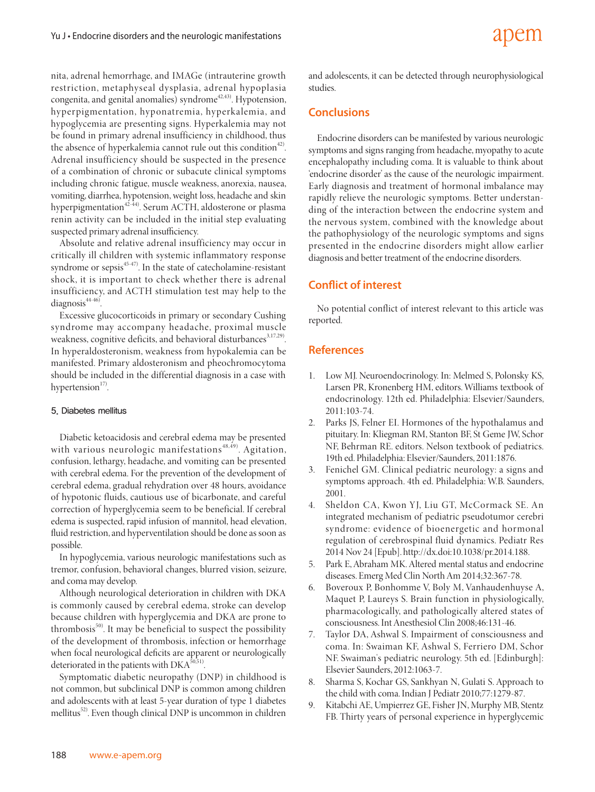nita, adrenal hemorrhage, and IMAGe (intrauterine growth restriction, metaphyseal dysplasia, adrenal hypoplasia congenita, and genital anomalies) syndrome<sup>42,43)</sup>. Hypotension, hyperpigmentation, hyponatremia, hyperkalemia, and hypoglycemia are presenting signs. Hyperkalemia may not be found in primary adrenal insufficiency in childhood, thus the absence of hyperkalemia cannot rule out this condition<sup>42)</sup>. Adrenal insufficiency should be suspected in the presence of a combination of chronic or subacute clinical symptoms including chronic fatigue, muscle weakness, anorexia, nausea, vomiting, diarrhea, hypotension, weight loss, headache and skin hyperpigmentation<sup>42-44)</sup>. Serum ACTH, aldosterone or plasma renin activity can be included in the initial step evaluating suspected primary adrenal insufficiency.

Absolute and relative adrenal insufficiency may occur in critically ill children with systemic inflammatory response syndrome or sepsis $45-47$ ). In the state of catecholamine-resistant shock, it is important to check whether there is adrenal insufficiency, and ACTH stimulation test may help to the  $diagonosis^{44-46}$ .

Excessive glucocorticoids in primary or secondary Cushing syndrome may accompany headache, proximal muscle weakness, cognitive deficits, and behavioral disturbances<sup>3,17,29)</sup>. In hyperaldosteronism, weakness from hypokalemia can be manifested. Primary aldosteronism and pheochromocytoma should be included in the differential diagnosis in a case with hypertension $17$ .

#### 5. Diabetes mellitus

Diabetic ketoacidosis and cerebral edema may be presented with various neurologic manifestations<sup>48,49)</sup>. Agitation, confusion, lethargy, headache, and vomiting can be presented with cerebral edema. For the prevention of the development of cerebral edema, gradual rehydration over 48 hours, avoidance of hypotonic fluids, cautious use of bicarbonate, and careful correction of hyperglycemia seem to be beneficial. If cerebral edema is suspected, rapid infusion of mannitol, head elevation, fluid restriction, and hyperventilation should be done as soon as possible.

In hypoglycemia, various neurologic manifestations such as tremor, confusion, behavioral changes, blurred vision, seizure, and coma may develop.

Although neurological deterioration in children with DKA is commonly caused by cerebral edema, stroke can develop because children with hyperglycemia and DKA are prone to thrombosis $50$ . It may be beneficial to suspect the possibility of the development of thrombosis, infection or hemorrhage when focal neurological deficits are apparent or neurologically deteriorated in the patients with  $DKA^{50,51}$ .

Symptomatic diabetic neuropathy (DNP) in childhood is not common, but subclinical DNP is common among children and adolescents with at least 5-year duration of type 1 diabetes mellitus<sup>52)</sup>. Even though clinical DNP is uncommon in children

and adolescents, it can be detected through neurophysiological studies.

# **Conclusions**

Endocrine disorders can be manifested by various neurologic symptoms and signs ranging from headache, myopathy to acute encephalopathy including coma. It is valuable to think about 'endocrine disorder' as the cause of the neurologic impairment. Early diagnosis and treatment of hormonal imbalance may rapidly relieve the neurologic symptoms. Better understanding of the interaction between the endocrine system and the nervous system, combined with the knowledge about the pathophysiology of the neurologic symptoms and signs presented in the endocrine disorders might allow earlier diagnosis and better treatment of the endocrine disorders.

# **Conflict of interest**

No potential conflict of interest relevant to this article was reported.

## **References**

- 1. Low MJ. Neuroendocrinology. In: Melmed S, Polonsky KS, Larsen PR, Kronenberg HM, editors. Williams textbook of endocrinology. 12th ed. Philadelphia: Elsevier/Saunders, 2011:103-74.
- 2. Parks JS, Felner EI. Hormones of the hypothalamus and pituitary. In: Kliegman RM, Stanton BF, St Geme JW, Schor NF, Behrman RE. editors. Nelson textbook of pediatrics. 19th ed. Philadelphia: Elsevier/Saunders, 2011:1876.
- 3. Fenichel GM. Clinical pediatric neurology: a signs and symptoms approach. 4th ed. Philadelphia: W.B. Saunders, 2001.
- 4. Sheldon CA, Kwon YJ, Liu GT, McCormack SE. An integrated mechanism of pediatric pseudotumor cerebri syndrome: evidence of bioenergetic and hormonal regulation of cerebrospinal fluid dynamics. Pediatr Res 2014 Nov 24 [Epub]. http://dx.doi:10.1038/pr.2014.188.
- 5. Park E, Abraham MK. Altered mental status and endocrine diseases. Emerg Med Clin North Am 2014;32:367-78.
- 6. Boveroux P, Bonhomme V, Boly M, Vanhaudenhuyse A, Maquet P, Laureys S. Brain function in physiologically, pharmacologically, and pathologically altered states of consciousness. Int Anesthesiol Clin 2008;46:131-46.
- 7. Taylor DA, Ashwal S. Impairment of consciousness and coma. In: Swaiman KF, Ashwal S, Ferriero DM, Schor NF. Swaiman's pediatric neurology. 5th ed. [Edinburgh]: Elsevier Saunders, 2012:1063-7.
- 8. Sharma S, Kochar GS, Sankhyan N, Gulati S. Approach to the child with coma. Indian J Pediatr 2010;77:1279-87.
- 9. Kitabchi AE, Umpierrez GE, Fisher JN, Murphy MB, Stentz FB. Thirty years of personal experience in hyperglycemic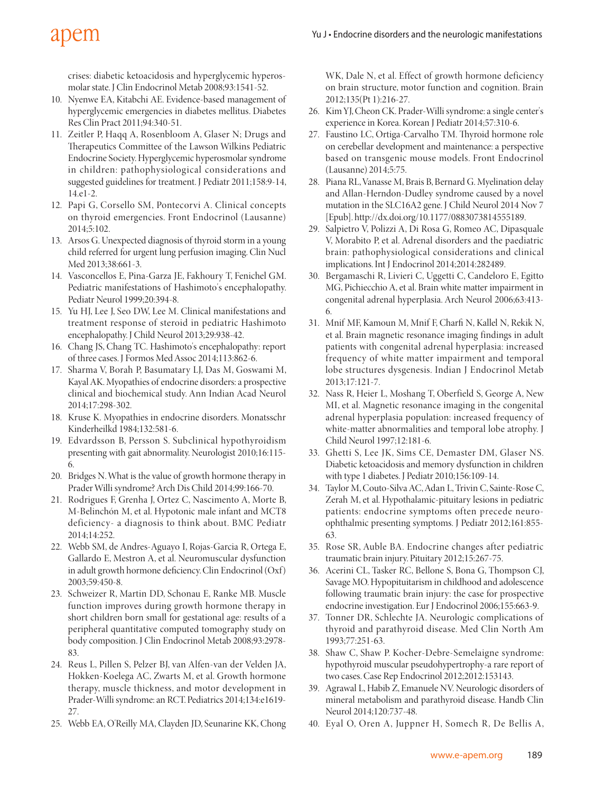# apem

crises: diabetic ketoacidosis and hyperglycemic hyperosmolar state. J Clin Endocrinol Metab 2008;93:1541-52.

- 10. Nyenwe EA, Kitabchi AE. Evidence-based management of hyperglycemic emergencies in diabetes mellitus. Diabetes Res Clin Pract 2011;94:340-51.
- 11. Zeitler P, Haqq A, Rosenbloom A, Glaser N; Drugs and Therapeutics Committee of the Lawson Wilkins Pediatric Endocrine Society. Hyperglycemic hyperosmolar syndrome in children: pathophysiological considerations and suggested guidelines for treatment. J Pediatr 2011;158:9-14, 14.e1-2.
- 12. Papi G, Corsello SM, Pontecorvi A. Clinical concepts on thyroid emergencies. Front Endocrinol (Lausanne) 2014;5:102.
- 13. Arsos G. Unexpected diagnosis of thyroid storm in a young child referred for urgent lung perfusion imaging. Clin Nucl Med 2013;38:661-3.
- 14. Vasconcellos E, Pina-Garza JE, Fakhoury T, Fenichel GM. Pediatric manifestations of Hashimoto's encephalopathy. Pediatr Neurol 1999;20:394-8.
- 15. Yu HJ, Lee J, Seo DW, Lee M. Clinical manifestations and treatment response of steroid in pediatric Hashimoto encephalopathy. J Child Neurol 2013;29:938-42.
- 16. Chang JS, Chang TC. Hashimoto's encephalopathy: report of three cases. J Formos Med Assoc 2014;113:862-6.
- 17. Sharma V, Borah P, Basumatary LJ, Das M, Goswami M, Kayal AK. Myopathies of endocrine disorders: a prospective clinical and biochemical study. Ann Indian Acad Neurol 2014;17:298-302.
- 18. Kruse K. Myopathies in endocrine disorders. Monatsschr Kinderheilkd 1984;132:581-6.
- 19. Edvardsson B, Persson S. Subclinical hypothyroidism presenting with gait abnormality. Neurologist 2010;16:115- 6.
- 20. Bridges N. What is the value of growth hormone therapy in Prader Willi syndrome? Arch Dis Child 2014;99:166-70.
- 21. Rodrigues F, Grenha J, Ortez C, Nascimento A, Morte B, M-Belinchón M, et al. Hypotonic male infant and MCT8 deficiency- a diagnosis to think about. BMC Pediatr 2014;14:252.
- 22. Webb SM, de Andres-Aguayo I, Rojas-Garcia R, Ortega E, Gallardo E, Mestron A, et al. Neuromuscular dysfunction in adult growth hormone deficiency. Clin Endocrinol (Oxf) 2003;59:450-8.
- 23. Schweizer R, Martin DD, Schonau E, Ranke MB. Muscle function improves during growth hormone therapy in short children born small for gestational age: results of a peripheral quantitative computed tomography study on body composition. J Clin Endocrinol Metab 2008;93:2978- 83.
- 24. Reus L, Pillen S, Pelzer BJ, van Alfen-van der Velden JA, Hokken-Koelega AC, Zwarts M, et al. Growth hormone therapy, muscle thickness, and motor development in Prader-Willi syndrome: an RCT. Pediatrics 2014;134:e1619- 27.
- 25. Webb EA, O'Reilly MA, Clayden JD, Seunarine KK, Chong

WK, Dale N, et al. Effect of growth hormone deficiency on brain structure, motor function and cognition. Brain 2012;135(Pt 1):216-27.

- 26. Kim YJ, Cheon CK. Prader-Willi syndrome: a single center's experience in Korea. Korean J Pediatr 2014;57:310-6.
- 27. Faustino LC, Ortiga-Carvalho TM. Thyroid hormone role on cerebellar development and maintenance: a perspective based on transgenic mouse models. Front Endocrinol (Lausanne) 2014;5:75.
- 28. Piana RL, Vanasse M, Brais B, Bernard G. Myelination delay and Allan-Herndon-Dudley syndrome caused by a novel mutation in the SLC16A2 gene. J Child Neurol 2014 Nov 7 [Epub]. http://dx.doi.org/10.1177/0883073814555189.
- 29. Salpietro V, Polizzi A, Di Rosa G, Romeo AC, Dipasquale V, Morabito P, et al. Adrenal disorders and the paediatric brain: pathophysiological considerations and clinical implications. Int J Endocrinol 2014;2014:282489.
- 30. Bergamaschi R, Livieri C, Uggetti C, Candeloro E, Egitto MG, Pichiecchio A, et al. Brain white matter impairment in congenital adrenal hyperplasia. Arch Neurol 2006;63:413- 6.
- 31. Mnif MF, Kamoun M, Mnif F, Charfi N, Kallel N, Rekik N, et al. Brain magnetic resonance imaging findings in adult patients with congenital adrenal hyperplasia: increased frequency of white matter impairment and temporal lobe structures dysgenesis. Indian J Endocrinol Metab 2013;17:121-7.
- 32. Nass R, Heier L, Moshang T, Oberfield S, George A, New MI, et al. Magnetic resonance imaging in the congenital adrenal hyperplasia population: increased frequency of white-matter abnormalities and temporal lobe atrophy. J Child Neurol 1997;12:181-6.
- 33. Ghetti S, Lee JK, Sims CE, Demaster DM, Glaser NS. Diabetic ketoacidosis and memory dysfunction in children with type 1 diabetes. J Pediatr 2010;156:109-14.
- 34. Taylor M, Couto-Silva AC, Adan L, Trivin C, Sainte-Rose C, Zerah M, et al. Hypothalamic-pituitary lesions in pediatric patients: endocrine symptoms often precede neuroophthalmic presenting symptoms. J Pediatr 2012;161:855- 63.
- 35. Rose SR, Auble BA. Endocrine changes after pediatric traumatic brain injury. Pituitary 2012;15:267-75.
- 36. Acerini CL, Tasker RC, Bellone S, Bona G, Thompson CJ, Savage MO. Hypopituitarism in childhood and adolescence following traumatic brain injury: the case for prospective endocrine investigation. Eur J Endocrinol 2006;155:663-9.
- 37. Tonner DR, Schlechte JA. Neurologic complications of thyroid and parathyroid disease. Med Clin North Am 1993;77:251-63.
- 38. Shaw C, Shaw P. Kocher-Debre-Semelaigne syndrome: hypothyroid muscular pseudohypertrophy-a rare report of two cases. Case Rep Endocrinol 2012;2012:153143.
- 39. Agrawal L, Habib Z, Emanuele NV. Neurologic disorders of mineral metabolism and parathyroid disease. Handb Clin Neurol 2014;120:737-48.
- 40. Eyal O, Oren A, Juppner H, Somech R, De Bellis A,